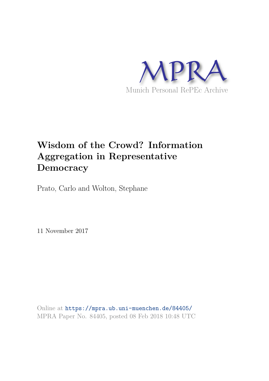

# **Wisdom of the Crowd? Information Aggregation in Representative Democracy**

Prato, Carlo and Wolton, Stephane

11 November 2017

Online at https://mpra.ub.uni-muenchen.de/84405/ MPRA Paper No. 84405, posted 08 Feb 2018 10:48 UTC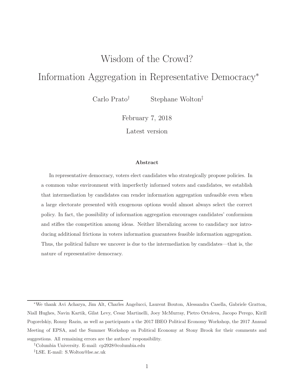# Wisdom of the Crowd?

# Information Aggregation in Representative Democracy<sup>∗</sup>

Carlo Prato† Stephane Wolton‡

February 7, 2018

Latest version

#### Abstract

In representative democracy, voters elect candidates who strategically propose policies. In a common value environment with imperfectly informed voters and candidates, we establish that intermediation by candidates can render information aggregation unfeasible even when a large electorate presented with exogenous options would almost always select the correct policy. In fact, the possibility of information aggregation encourages candidates' conformism and stifles the competition among ideas. Neither liberalizing access to candidacy nor introducing additional frictions in voters information guarantees feasible information aggregation. Thus, the political failure we uncover is due to the intermediation by candidates—that is, the nature of representative democracy.

<sup>∗</sup>We thank Avi Acharya, Jim Alt, Charles Angelucci, Laurent Bouton, Alessandra Casella, Gabriele Gratton, Niall Hughes, Navin Kartik, Gilat Levy, Cesar Martinelli, Joey McMurray, Pietro Ortoleva, Jacopo Perego, Kirill Pogorelskiy, Ronny Razin, as well as participants a the 2017 IBEO Political Economy Workshop, the 2017 Annual Meeting of EPSA, and the Summer Workshop on Political Economy at Stony Brook for their comments and suggestions. All remaining errors are the authors' responsibility.

<sup>†</sup>Columbia University. E-mail: cp2928@columbia.edu

<sup>‡</sup>LSE. E-mail: S.Wolton@lse.ac.uk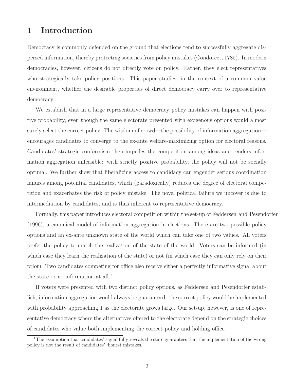# 1 Introduction

Democracy is commonly defended on the ground that elections tend to successfully aggregate dispersed information, thereby protecting societies from policy mistakes (Condorcet, 1785). In modern democracies, however, citizens do not directly vote on policy. Rather, they elect representatives who strategically take policy positions. This paper studies, in the context of a common value environment, whether the desirable properties of direct democracy carry over to representative democracy.

We establish that in a large representative democracy policy mistakes can happen with positive probability, even though the same electorate presented with exogenous options would almost surely select the correct policy. The wisdom of crowd—the possibility of information aggregation encourages candidates to converge to the ex-ante welfare-maximizing option for electoral reasons. Candidates' strategic conformism then impedes the competition among ideas and renders information aggregation unfeasible: with strictly positive probability, the policy will not be socially optimal. We further show that liberalizing access to candidacy can engender serious coordination failures among potential candidates, which (paradoxically) reduces the degree of electoral competition and exacerbates the risk of policy mistake. The novel political failure we uncover is due to intermediation by candidates, and is thus inherent to representative democracy.

Formally, this paper introduces electoral competition within the set-up of Feddersen and Pesendorfer (1996), a canonical model of information aggregation in elections. There are two possible policy options and an ex-ante unknown state of the world which can take one of two values. All voters prefer the policy to match the realization of the state of the world. Voters can be informed (in which case they learn the realization of the state) or not (in which case they can only rely on their prior). Two candidates competing for office also receive either a perfectly informative signal about the state or no information at all.<sup>1</sup>

If voters were presented with two distinct policy options, as Feddersen and Pesendorfer establish, information aggregation would always be guaranteed: the correct policy would be implemented with probability approaching 1 as the electorate grows large. Our set-up, however, is one of representative democracy where the alternatives offered to the electorate depend on the strategic choices of candidates who value both implementing the correct policy and holding office.

<sup>&</sup>lt;sup>1</sup>The assumption that candidates' signal fully reveals the state guarantees that the implementation of the wrong policy is not the result of candidates' 'honest mistakes.'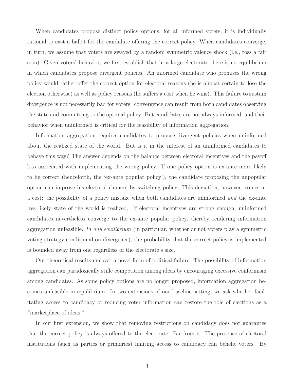When candidates propose distinct policy options, for all informed voters, it is individually rational to cast a ballot for the candidate offering the correct policy. When candidates converge, in turn, we assume that voters are swayed by a random symmetric valence shock (i.e., toss a fair coin). Given voters' behavior, we first establish that in a large electorate there is no equilibrium in which candidates propose divergent policies. An informed candidate who promises the wrong policy would rather offer the correct option for electoral reasons (he is almost certain to lose the election otherwise) as well as policy reasons (he suffers a cost when he wins). This failure to sustain divergence is not necessarily bad for voters: convergence can result from both candidates observing the state and committing to the optimal policy. But candidates are not always informed, and their behavior when uninformed is critical for the feasibility of information aggregation.

Information aggregation requires candidates to propose divergent policies when uninformed about the realized state of the world. But is it in the interest of an uninformed candidates to behave this way? The answer depends on the balance between electoral incentives and the payoff loss associated with implementing the wrong policy. If one policy option is ex-ante more likely to be correct (henceforth, the 'ex-ante popular policy'), the candidate proposing the unpopular option can improve his electoral chances by switching policy. This deviation, however, comes at a cost: the possibility of a policy mistake when both candidates are uninformed and the ex-ante less likely state of the world is realized. If electoral incentives are strong enough, uninformed candidates nevertheless converge to the ex-ante popular policy, thereby rendering information aggregation unfeasible. In any equilibrium (in particular, whether or not voters play a symmetric voting strategy conditional on divergence), the probability that the correct policy is implemented is bounded away from one regardless of the electorate's size.

Our theoretical results uncover a novel form of political failure. The possibility of information aggregation can paradoxically stifle competition among ideas by encouraging excessive conformism among candidates. As some policy options are no longer proposed, information aggregation becomes unfeasible in equilibrium. In two extensions of our baseline setting, we ask whether facilitating access to candidacy or reducing voter information can restore the role of elections as a "marketplace of ideas."

In our first extension, we show that removing restrictions on candidacy does not guarantee that the correct policy is always offered to the electorate. Far from it. The presence of electoral institutions (such as parties or primaries) limiting access to candidacy can benefit voters. By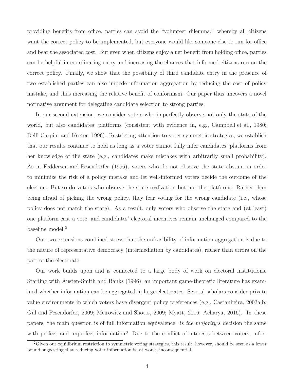providing benefits from office, parties can avoid the "volunteer dilemma," whereby all citizens want the correct policy to be implemented, but everyone would like someone else to run for office and bear the associated cost. But even when citizens enjoy a net benefit from holding office, parties can be helpful in coordinating entry and increasing the chances that informed citizens run on the correct policy. Finally, we show that the possibility of third candidate entry in the presence of two established parties can also impede information aggregation by reducing the cost of policy mistake, and thus increasing the relative benefit of conformism. Our paper thus uncovers a novel normative argument for delegating candidate selection to strong parties.

In our second extension, we consider voters who imperfectly observe not only the state of the world, but also candidates' platforms (consistent with evidence in, e.g., Campbell et al., 1980; Delli Carpini and Keeter, 1996). Restricting attention to voter symmetric strategies, we establish that our results continue to hold as long as a voter cannot fully infer candidates' platforms from her knowledge of the state (e.g., candidates make mistakes with arbitrarily small probability). As in Feddersen and Pesendorfer (1996), voters who do not observe the state abstain in order to minimize the risk of a policy mistake and let well-informed voters decide the outcome of the election. But so do voters who observe the state realization but not the platforms. Rather than being afraid of picking the wrong policy, they fear voting for the wrong candidate (i.e., whose policy does not match the state). As a result, only voters who observe the state and (at least) one platform cast a vote, and candidates' electoral incentives remain unchanged compared to the baseline model.<sup>2</sup>

Our two extensions combined stress that the unfeasibility of information aggregation is due to the nature of representative democracy (intermediation by candidates), rather than errors on the part of the electorate.

Our work builds upon and is connected to a large body of work on electoral institutions. Starting with Austen-Smith and Banks (1996), an important game-theoretic literature has examined whether information can be aggregated in large electorates. Several scholars consider private value environments in which voters have divergent policy preferences (e.g., Castanheira, 2003a,b; Gül and Pesendorfer, 2009; Meirowitz and Shotts, 2009; Myatt, 2016; Acharya, 2016). In these papers, the main question is of full information equivalence: is the majority's decision the same with perfect and imperfect information? Due to the conflict of interests between voters, infor-

 ${}^{2}$ Given our equilibrium restriction to symmetric voting strategies, this result, however, should be seen as a lower bound suggesting that reducing voter information is, at worst, inconsequential.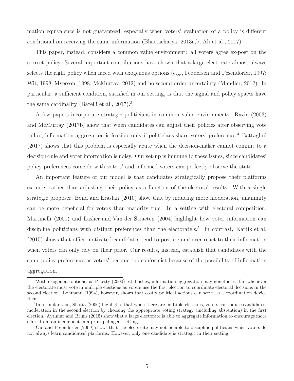mation equivalence is not guaranteed, especially when voters' evaluation of a policy is different conditional on receiving the same information (Bhattacharya, 2013a,b; Ali et al., 2017).

This paper, instead, considers a common value environment: all voters agree ex-post on the correct policy. Several important contributions have shown that a large electorate almost always selects the right policy when faced with exogenous options (e.g., Feddersen and Pesendorfer, 1997; Wit, 1998; Myerson, 1998; McMurray, 2012) and no second-order uncertainty (Mandler, 2012). In particular, a sufficient condition, satisfied in our setting, is that the signal and policy spaces have the same cardinality (Barelli et al., 2017).<sup>3</sup>

A few papers incorporate strategic politicians in common value environments. Razin (2003) and McMurray (2017b) show that when candidates can adjust their policies after observing vote tallies, information aggregation is feasible only if politicians share voters' preferences.<sup>4</sup> Battaglini (2017) shows that this problem is especially acute when the decision-maker cannot commit to a decision-rule and voter information is noisy. Our set-up is immune to these issues, since candidates' policy preferences coincide with voters' and informed voters can perfectly observe the state.

An important feature of our model is that candidates strategically propose their platforms ex-ante, rather than adjusting their policy as a function of the electoral results. With a single strategic proposer, Bond and Eraslan (2010) show that by inducing more moderation, unanimity can be more beneficial for voters than majority rule. In a setting with electoral competition, Martinelli (2001) and Laslier and Van der Straeten (2004) highlight how voter information can discipline politicians with distinct preferences than the electorate's.<sup>5</sup> In contrast, Kartik et al. (2015) shows that office-motivated candidates tend to posture and over-react to their information when voters can only rely on their prior. Our results, instead, establish that candidates with the same policy preferences as voters' become too conformist because of the possibility of information aggregation.

<sup>3</sup>With exogenous options, as Piketty (2000) establishes, information aggregation may nonetheless fail whenever the electorate must vote in multiple elections as voters use the first election to coordinate electoral decisions in the second election. Lohmann (1994), however, shows that costly political actions can serve as a coordination device then.

<sup>&</sup>lt;sup>4</sup>In a similar vein, Shotts (2006) highlights that when there are multiple elections, voters can induce candidates' moderation in the second election by choosing the appropriate voting strategy (including abstention) in the first election. Aytimur and Bruns (2015) show that a large electorate is able to aggregate information to encourage more effort from an incumbent in a principal-agent setting.

 ${}^{5}$ Gül and Pesendorfer (2009) shows that the electorate may not be able to discipline politicians when voters do not always learn candidates' platforms. However, only one candidate is strategic in their setting.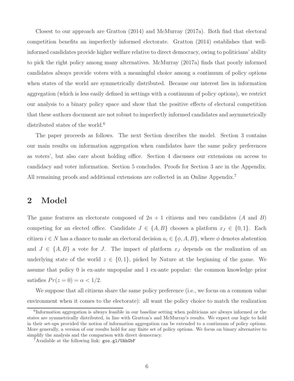Closest to our approach are Gratton (2014) and McMurray (2017a). Both find that electoral competition benefits an imperfectly informed electorate. Gratton (2014) establishes that wellinformed candidates provide higher welfare relative to direct democracy, owing to politicians' ability to pick the right policy among many alternatives. McMurray (2017a) finds that poorly informed candidates always provide voters with a meaningful choice among a continuum of policy options when states of the world are symmetrically distributed. Because our interest lies in information aggregation (which is less easily defined in settings with a continuum of policy options), we restrict our analysis to a binary policy space and show that the positive effects of electoral competition that these authors document are not robust to imperfectly informed candidates and asymmetrically distributed states of the world.<sup>6</sup>

The paper proceeds as follows. The next Section describes the model. Section 3 contains our main results on information aggregation when candidates have the same policy preferences as voters', but also care about holding office. Section 4 discusses our extensions on access to candidacy and voter information. Section 5 concludes. Proofs for Section 3 are in the Appendix. All remaining proofs and additional extensions are collected in an Online Appendix.<sup>7</sup>

## 2 Model

The game features an electorate composed of  $2n + 1$  citizens and two candidates (A and B) competing for an elected office. Candidate  $J \in \{A, B\}$  chooses a platform  $x_J \in \{0, 1\}$ . Each citizen  $i \in N$  has a chance to make an electoral decision  $a_i \in \{\phi, A, B\}$ , where  $\phi$  denotes abstention and  $J \in \{A, B\}$  a vote for J. The impact of platform  $x_J$  depends on the realization of an underlying state of the world  $z \in \{0,1\}$ , picked by Nature at the beginning of the game. We assume that policy 0 is ex-ante unpopular and 1 ex-ante popular: the common knowledge prior satisfies  $Pr(z = 0) = \alpha < 1/2$ .

We suppose that all citizens share the same policy preference (i.e., we focus on a common value environment when it comes to the electorate): all want the policy choice to match the realization

<sup>6</sup> Information aggregation is always feasible in our baseline setting when politicians are always informed or the states are symmetrically distributed, in line with Gratton's and McMurray's results. We expect our logic to hold in their set-ups provided the notion of information aggregation can be extended to a continuum of policy options. More generally, a version of our results hold for any finite set of policy options. We focus on binary alternative to simplify the analysis and the comparison with direct democracy.

<sup>7</sup>Available at the following link: goo.gl/UAhGbF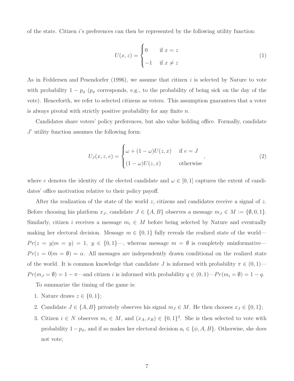of the state. Citizen  $i$ 's preferences can then be represented by the following utility function:

$$
U(x, z) = \begin{cases} 0 & \text{if } x = z \\ -1 & \text{if } x \neq z \end{cases}
$$
 (1)

As in Feddersen and Pesendorfer (1996), we assume that citizen i is selected by Nature to vote with probability  $1 - p_{\phi}$  ( $p_{\phi}$  corresponds, e.g., to the probability of being sick on the day of the vote). Henceforth, we refer to selected citizens as voters. This assumption guarantees that a voter is always pivotal with strictly positive probability for any finite  $n$ .

Candidates share voters' policy preferences, but also value holding office. Formally, candidate J' utility function assumes the following form:

$$
U_J(x, z, e) = \begin{cases} \omega + (1 - \omega)U(z, x) & \text{if } e = J \\ (1 - \omega)U(z, x) & \text{otherwise} \end{cases}
$$
 (2)

where e denotes the identity of the elected candidate and  $\omega \in [0,1]$  captures the extent of candidates' office motivation relative to their policy payoff.

After the realization of the state of the world z, citizens and candidates receive a signal of z. Before choosing his platform  $x_J$ , candidate  $J \in \{A, B\}$  observes a message  $m_J \in M := \{\emptyset, 0, 1\}.$ Similarly, citizen i receives a message  $m_i \in M$  before being selected by Nature and eventually making her electoral decision. Message  $m \in \{0, 1\}$  fully reveals the realized state of the world—  $Pr(z = y|m = y) = 1, y \in \{0, 1\}$ , whereas message  $m = \emptyset$  is completely uninformative  $Pr(z = 0|m = \emptyset) = \alpha$ . All messages are independently drawn conditional on the realized state of the world. It is common knowledge that candidate J is informed with probability  $\pi \in (0,1)$ —  $Pr(m_j = \emptyset) = 1 - \pi$ —and citizen *i* is informed with probability  $q \in (0, 1)$ — $Pr(m_i = \emptyset) = 1 - q$ .

To summarize the timing of the game is:

- 1. Nature draws  $z \in \{0, 1\};$
- 2. Candidate  $J \in \{A, B\}$  privately observes his signal  $m_J \in M$ . He then chooses  $x_J \in \{0, 1\};$
- 3. Citizen  $i \in N$  observes  $m_i \in M$ , and  $(x_A, x_B) \in \{0,1\}^2$ . She is then selected to vote with probability  $1 - p_{\phi}$ , and if so makes her electoral decision  $a_i \in \{\phi, A, B\}$ . Otherwise, she does not vote;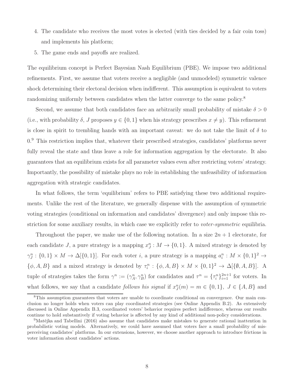- 4. The candidate who receives the most votes is elected (with ties decided by a fair coin toss) and implements his platform;
- 5. The game ends and payoffs are realized.

The equilibrium concept is Perfect Bayesian Nash Equilibrium (PBE). We impose two additional refinements. First, we assume that voters receive a negligible (and unmodeled) symmetric valence shock determining their electoral decision when indifferent. This assumption is equivalent to voters randomizing uniformly between candidates when the latter converge to the same policy.<sup>8</sup>

Second, we assume that both candidates face an arbitrarily small probability of mistake  $\delta > 0$ (i.e., with probability  $\delta$ , J proposes  $y \in \{0,1\}$  when his strategy prescribes  $x \neq y$ ). This refinement is close in spirit to trembling hands with an important caveat: we do not take the limit of  $\delta$  to  $0.9$  This restriction implies that, whatever their prescribed strategies, candidates' platforms never fully reveal the state and thus leave a role for information aggregation by the electorate. It also guarantees that an equilibrium exists for all parameter values even after restricting voters' strategy. Importantly, the possibility of mistake plays no role in establishing the unfeasibility of information aggregation with strategic candidates.

In what follows, the term 'equilibrium' refers to PBE satisfying these two additional requirements. Unlike the rest of the literature, we generally dispense with the assumption of symmetric voting strategies (conditional on information and candidates' divergence) and only impose this restriction for some auxiliary results, in which case we explicitly refer to *voter-symmetric* equilibria.

Throughout the paper, we make use of the following notation. In a size  $2n + 1$  electorate, for each candidate J, a pure strategy is a mapping  $x_J^n : M \to \{0,1\}$ . A mixed strategy is denoted by  $\gamma_j^n : \{0,1\} \times M \to \Delta[\{0,1\}]$ . For each voter i, a pure strategy is a mapping  $a_i^n : M \times \{0,1\}^2 \to$  $\{\phi, A, B\}$  and a mixed strategy is denoted by  $\tau_i^n : \{\phi, A, B\} \times M \times \{0, 1\}^2 \to \Delta[\{\emptyset, A, B\}].$  A tuple of strategies takes the form  $\gamma^n := (\gamma^n_A, \gamma^n_B)$  for candidates and  $\tau^n = {\{\tau^n_i\}}_{i=1}^{2n+1}$  for voters. In what follows, we say that a candidate *follows his signal* if  $x_J^n(m) = m \in \{0, 1\}$ ,  $J \in \{A, B\}$  and

<sup>8</sup>This assumption guarantees that voters are unable to coordinate conditional on convergence. Our main conclusion no longer holds when voters can play coordinated strategies (see Online Appendix B.2). As extensively discussed in Online Appendix B.3, coordinated voters' behavior requires perfect indifference, whereas our results continue to hold substantively if voting behavior is affected by any kind of additional non-policy considerations.

 $9$ Matějka and Tabellini (2016) also assume that candidates make mistakes to generate rational inattention in probabilistic voting models. Alternatively, we could have assumed that voters face a small probability of misperceiving candidates' platforms. In our extensions, however, we choose another approach to introduce frictions in voter information about candidates' actions.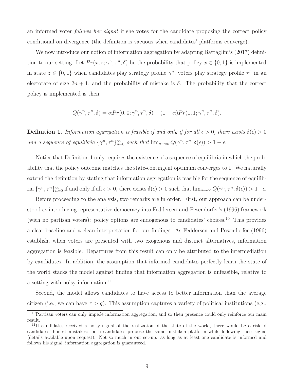an informed voter follows her signal if she votes for the candidate proposing the correct policy conditional on divergence (the definition is vacuous when candidates' platforms converge).

We now introduce our notion of information aggregation by adapting Battaglini's (2017) definition to our setting. Let  $Pr(x, z; \gamma^n, \tau^n, \delta)$  be the probability that policy  $x \in \{0, 1\}$  is implemented in state  $z \in \{0,1\}$  when candidates play strategy profile  $\gamma^n$ , voters play strategy profile  $\tau^n$  in an electorate of size  $2n + 1$ , and the probability of mistake is  $\delta$ . The probability that the correct policy is implemented is then:

$$
Q(\gamma^n, \tau^n, \delta) = \alpha Pr(0, 0; \gamma^n, \tau^n, \delta) + (1 - \alpha) Pr(1, 1; \gamma^n, \tau^n, \delta).
$$

**Definition 1.** Information aggregation is feasible if and only if for all  $\epsilon > 0$ , there exists  $\delta(\epsilon) > 0$ and a sequence of equilibria  $\{\gamma^n, \tau^n\}_{n=0}^{\infty}$  such that  $\lim_{n\to\infty} Q(\gamma^n, \tau^n, \delta(\epsilon)) > 1 - \epsilon$ .

Notice that Definition 1 only requires the existence of a sequence of equilibria in which the probability that the policy outcome matches the state-contingent optimum converges to 1. We naturally extend the definition by stating that information aggregation is feasible for the sequence of equilibria  $\{\tilde{\gamma}^n, \tilde{\tau}^n\}_{n=0}^{\infty}$  if and only if all  $\epsilon > 0$ , there exists  $\delta(\epsilon) > 0$  such that  $\lim_{n\to\infty} Q(\tilde{\gamma}^n, \tilde{\tau}^n, \delta(\epsilon)) > 1-\epsilon$ .

Before proceeding to the analysis, two remarks are in order. First, our approach can be understood as introducing representative democracy into Feddersen and Pesendorfer's (1996) framework (with no partisan voters): policy options are endogenous to candidates' choices.<sup>10</sup> This provides a clear baseline and a clean interpretation for our findings. As Feddersen and Pesendorfer (1996) establish, when voters are presented with two exogenous and distinct alternatives, information aggregation is feasible. Departures from this result can only be attributed to the intermediation by candidates. In addition, the assumption that informed candidates perfectly learn the state of the world stacks the model against finding that information aggregation is unfeasible, relative to a setting with noisy information.<sup>11</sup>

Second, the model allows candidates to have access to better information than the average citizen (i.e., we can have  $\pi > q$ ). This assumption captures a variety of political institutions (e.g.,

<sup>&</sup>lt;sup>10</sup>Partisan voters can only impede information aggregation, and so their presence could only reinforce our main result.

<sup>&</sup>lt;sup>11</sup>If candidates received a noisy signal of the realization of the state of the world, there would be a risk of candidates' honest mistakes: both candidates propose the same mistaken platform while following their signal (details available upon request). Not so much in our set-up: as long as at least one candidate is informed and follows his signal, information aggregation is guaranteed.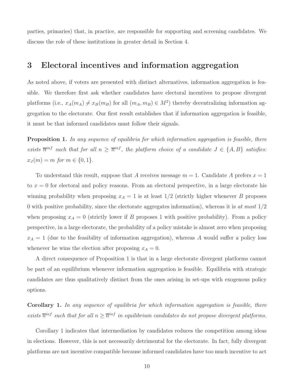parties, primaries) that, in practice, are responsible for supporting and screening candidates. We discuss the role of these institutions in greater detail in Section 4.

## 3 Electoral incentives and information aggregation

As noted above, if voters are presented with distinct alternatives, information aggregation is feasible. We therefore first ask whether candidates have electoral incentives to propose divergent platforms (i.e.,  $x_A(m_A) \neq x_B(m_B)$  for all  $(m_A, m_B) \in M^2$ ) thereby decentralizing information aggregation to the electorate. Our first result establishes that if information aggregation is feasible, it must be that informed candidates must follow their signals.

**Proposition 1.** In any sequence of equilibria for which information aggregation is feasible, there exists  $\overline{n}^{inf}$  such that for all  $n \geq \overline{n}^{inf}$ , the platform choice of a candidate  $J \in \{A, B\}$  satisfies:  $x_J(m) = m$  for  $m \in \{0, 1\}.$ 

To understand this result, suppose that A receives message  $m = 1$ . Candidate A prefers  $x = 1$ to  $x = 0$  for electoral and policy reasons. From an electoral perspective, in a large electorate his winning probability when proposing  $x_A = 1$  is at least  $1/2$  (strictly higher whenever B proposes 0 with positive probability, since the electorate aggregates information), whereas it is at most  $1/2$ when proposing  $x_A = 0$  (strictly lower if B proposes 1 with positive probability). From a policy perspective, in a large electorate, the probability of a policy mistake is almost zero when proposing  $x_A = 1$  (due to the feasibility of information aggregation), whereas A would suffer a policy loss whenever he wins the election after proposing  $x_A = 0$ .

A direct consequence of Proposition 1 is that in a large electorate divergent platforms cannot be part of an equilibrium whenever information aggregation is feasible. Equilibria with strategic candidates are thus qualitatively distinct from the ones arising in set-ups with exogenous policy options.

Corollary 1. In any sequence of equilibria for which information aggregation is feasible, there exists  $\overline{n}^{inf}$  such that for all  $n \geq \overline{n}^{inf}$  in equilibrium candidates do not propose divergent platforms.

Corollary 1 indicates that intermediation by candidates reduces the competition among ideas in elections. However, this is not necessarily detrimental for the electorate. In fact, fully divergent platforms are not incentive compatible because informed candidates have too much incentive to act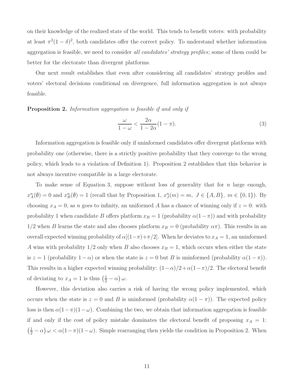on their knowledge of the realized state of the world. This tends to benefit voters: with probability at least  $\pi^2(1-\delta)^2$ , both candidates offer the correct policy. To understand whether information aggregation is feasible, we need to consider all candidates' strategy profiles; some of them could be better for the electorate than divergent platforms.

Our next result establishes that even after considering all candidates' strategy profiles and voters' electoral decisions conditional on divergence, full information aggregation is not always feasible.

Proposition 2. Information aggregation is feasible if and only if

$$
\frac{\omega}{1-\omega} < \frac{2\alpha}{1-2\alpha}(1-\pi). \tag{3}
$$

Information aggregation is feasible only if uninformed candidates offer divergent platforms with probability one (otherwise, there is a strictly positive probability that they converge to the wrong policy, which leads to a violation of Definition 1). Proposition 2 establishes that this behavior is not always incentive compatible in a large electorate.

To make sense of Equation 3, suppose without loss of generality that for  $n$  large enough,  $x_A^n(\emptyset) = 0$  and  $x_B^n(\emptyset) = 1$  (recall that by Proposition 1,  $x_J^n(m) = m$ ,  $J \in \{A, B\}$ ,  $m \in \{0, 1\}$ ). By choosing  $x_A = 0$ , as n goes to infinity, an uniformed A has a chance of winning only if  $z = 0$ : with probability 1 when candidate B offers platform  $x_B = 1$  (probability  $\alpha(1-\pi)$ ) and with probability  $1/2$  when B learns the state and also chooses platform  $x_B = 0$  (probability  $\alpha \pi$ ). This results in an overall expected winning probability of  $\alpha[(1-\pi)+\pi/2]$ . When he deviates to  $x_A = 1$ , an uninformed A wins with probability  $1/2$  only when B also chooses  $x_B = 1$ , which occurs when either the state is  $z = 1$  (probability  $1 - \alpha$ ) or when the state is  $z = 0$  but B is uninformed (probability  $\alpha(1 - \pi)$ ). This results in a higher expected winning probability:  $(1-\alpha)/2 + \alpha(1-\pi)/2$ . The electoral benefit of deviating to  $x_A = 1$  is thus  $\left(\frac{1}{2} - \alpha\right)\omega$ .

However, this deviation also carries a risk of having the wrong policy implemented, which occurs when the state is  $z = 0$  and B is uninformed (probability  $\alpha(1 - \pi)$ ). The expected policy loss is then  $\alpha(1-\pi)(1-\omega)$ . Combining the two, we obtain that information aggregation is feasible if and only if the cost of policy mistake dominates the electoral benefit of proposing  $x_A = 1$ :  $\left(\frac{1}{2} - \alpha\right) \omega < \alpha(1 - \pi)(1 - \omega)$ . Simple rearranging then yields the condition in Proposition 2. When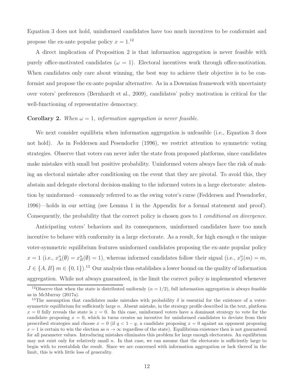Equation 3 does not hold, uninformed candidates have too much incentives to be conformist and propose the ex-ante popular policy  $x = 1$ .<sup>12</sup>

A direct implication of Proposition 2 is that information aggregation is never feasible with purely office-motivated candidates ( $\omega = 1$ ). Electoral incentives work through office-motivation. When candidates only care about winning, the best way to achieve their objective is to be conformist and propose the ex-ante popular alternative. As in a Downsian framework with uncertainty over voters' preferences (Bernhardt et al., 2009), candidates' policy motivation is critical for the well-functioning of representative democracy.

#### **Corollary 2.** When  $\omega = 1$ , information aggregation is never feasible.

We next consider equilibria when information aggregation is unfeasible (i.e., Equation 3 does not hold). As in Feddersen and Pesendorfer (1996), we restrict attention to symmetric voting strategies. Observe that voters can never infer the state from proposed platforms, since candidates make mistakes with small but positive probability. Uninformed voters always face the risk of making an electoral mistake after conditioning on the event that they are pivotal. To avoid this, they abstain and delegate electoral decision-making to the informed voters in a large electorate: abstention by uninformed—commonly referred to as the swing voter's curse (Feddersen and Pesendorfer, 1996)—holds in our setting (see Lemma 1 in the Appendix for a formal statement and proof). Consequently, the probability that the correct policy is chosen goes to 1 *conditional on divergence*.

Anticipating voters' behaviors and its consequences, uninformed candidates have too much incentive to behave with conformity in a large electorate. As a result, for high enough  $n$  the unique voter-symmetric equilibrium features uninformed candidates proposing the ex-ante popular policy  $x = 1$  (i.e.,  $x_A^n(\emptyset) = x_B^n(\emptyset) = 1$ ), whereas informed candidates follow their signal (i.e.,  $x_J^n(m) = m$ ,  $J \in \{A, B\}$   $m \in \{0, 1\}$ .<sup>13</sup> Our analysis thus establishes a lower bound on the quality of information aggregation. While not always guaranteed, in the limit the correct policy is implemented whenever

<sup>&</sup>lt;sup>12</sup>Observe that when the state is distributed uniformly  $(\alpha = 1/2)$ , full information aggregation is always feasible as in McMurray (2017a).

<sup>&</sup>lt;sup>13</sup>The assumption that candidates make mistakes with probability  $\delta$  is essential for the existence of a votersymmetric equilibrium for sufficiently large  $n$ . Absent mistake, in the strategy profile described in the text, platform  $x = 0$  fully reveals the state is  $z = 0$ . In this case, uninformed voters have a dominant strategy to vote for the candidate proposing  $x = 0$ , which in turns creates an incentive for uninformed candidates to deviate from their prescribed strategies and choose  $x = 0$  (if  $q < 1 - q$ , a candidate proposing  $x = 0$  against an opponent proposing  $x = 1$  is certain to win the election as  $n \to \infty$  regardless of the state). Equilibrium existence then is not guaranteed for all parameter values. Introducing mistakes eliminates this problem for large enough electorates. An equilibrium may not exist only for relatively small  $n$ . In that case, we can assume that the electorate is sufficiently large to begin with to reestablish the result. Since we are concerned with information aggregation or lack thereof in the limit, this is with little loss of generality.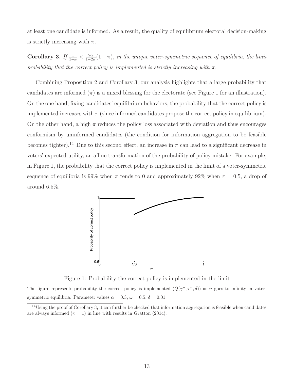at least one candidate is informed. As a result, the quality of equilibrium electoral decision-making is strictly increasing with  $\pi$ .

Corollary 3. If  $\frac{\omega}{1-\omega} < \frac{2\alpha}{1-2}$  $\frac{2\alpha}{1-2\alpha}(1-\pi)$ , in the unique voter-symmetric sequence of equilibria, the limit probability that the correct policy is implemented is strictly increasing with  $\pi$ .

Combining Proposition 2 and Corollary 3, our analysis highlights that a large probability that candidates are informed  $(\pi)$  is a mixed blessing for the electorate (see Figure 1 for an illustration). On the one hand, fixing candidates' equilibrium behaviors, the probability that the correct policy is implemented increases with  $\pi$  (since informed candidates propose the correct policy in equilibrium). On the other hand, a high  $\pi$  reduces the policy loss associated with deviation and thus encourages conformism by uninformed candidates (the condition for information aggregation to be feasible becomes tighter).<sup>14</sup> Due to this second effect, an increase in  $\pi$  can lead to a significant decrease in voters' expected utility, an affine transformation of the probability of policy mistake. For example, in Figure 1, the probability that the correct policy is implemented in the limit of a voter-symmetric sequence of equilibria is 99% when  $\pi$  tends to 0 and approximately 92% when  $\pi = 0.5$ , a drop of around 6.5%.



Figure 1: Probability the correct policy is implemented in the limit

The figure represents probability the correct policy is implemented  $(Q(\gamma^n, \tau^n, \delta))$  as n goes to infinity in votersymmetric equilibria. Parameter values  $\alpha = 0.3$ ,  $\omega = 0.5$ ,  $\delta = 0.01$ .

<sup>&</sup>lt;sup>14</sup>Using the proof of Corollary 3, it can further be checked that information aggregation is feasible when candidates are always informed  $(\pi = 1)$  in line with results in Gratton (2014).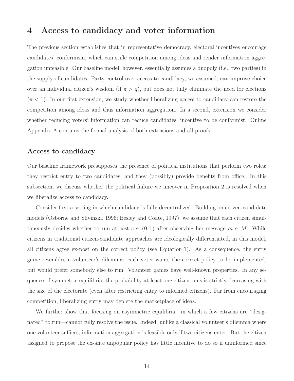### 4 Access to candidacy and voter information

The previous section establishes that in representative democracy, electoral incentives encourage candidates' conformism, which can stifle competition among ideas and render information aggregation unfeasible. Our baseline model, however, essentially assumes a duopoly (i.e., two parties) in the supply of candidates. Party control over access to candidacy, we assumed, can improve choice over an individual citizen's wisdom (if  $\pi > q$ ), but does not fully eliminate the need for elections  $(\pi < 1)$ . In our first extension, we study whether liberalizing access to candidacy can restore the competition among ideas and thus information aggregation. In a second, extension we consider whether reducing voters' information can reduce candidates' incentive to be conformist. Online Appendix A contains the formal analysis of both extensions and all proofs.

### Access to candidacy

Our baseline framework presupposes the presence of political institutions that perform two roles: they restrict entry to two candidates, and they (possibly) provide benefits from office. In this subsection, we discuss whether the political failure we uncover in Proposition 2 is resolved when we liberalize access to candidacy.

Consider first a setting in which candidacy is fully decentralized. Building on citizen-candidate models (Osborne and Slivinski, 1996; Besley and Coate, 1997), we assume that each citizen simultaneously decides whether to run at cost  $c \in (0,1)$  after observing her message  $m \in M$ . While citizens in traditional citizen-candidate approaches are ideologically differentiated, in this model, all citizens agree ex-post on the correct policy (see Equation 1). As a consequence, the entry game resembles a volunteer's dilemma: each voter wants the correct policy to be implemented, but would prefer somebody else to run. Volunteer games have well-known properties. In any sequence of symmetric equilibria, the probability at least one citizen runs is strictly decreasing with the size of the electorate (even after restricting entry to informed citizens). Far from encouraging competition, liberalizing entry may deplete the marketplace of ideas.

We further show that focusing on asymmetric equilibria—in which a few citizens are "designated" to run—cannot fully resolve the issue. Indeed, unlike a classical volunteer's dilemma where one volunteer suffices, information aggregation is feasible only if two citizens enter. But the citizen assigned to propose the ex-ante unpopular policy has little incentive to do so if uninformed since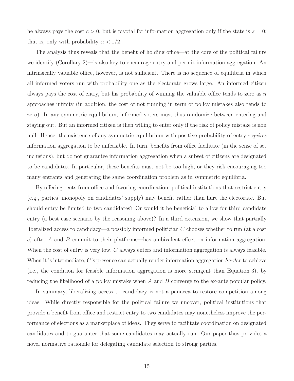he always pays the cost  $c > 0$ , but is pivotal for information aggregation only if the state is  $z = 0$ ; that is, only with probability  $\alpha < 1/2$ .

The analysis thus reveals that the benefit of holding office—at the core of the political failure we identify (Corollary 2)—is also key to encourage entry and permit information aggregation. An intrinsically valuable office, however, is not sufficient. There is no sequence of equilibria in which all informed voters run with probability one as the electorate grows large. An informed citizen always pays the cost of entry, but his probability of winning the valuable office tends to zero as n approaches infinity (in addition, the cost of not running in term of policy mistakes also tends to zero). In any symmetric equilibrium, informed voters must thus randomize between entering and staying out. But an informed citizen is then willing to enter only if the risk of policy mistake is non null. Hence, the existence of any symmetric equilibrium with positive probability of entry requires information aggregation to be unfeasible. In turn, benefits from office facilitate (in the sense of set inclusions), but do not guarantee information aggregation when a subset of citizens are designated to be candidates. In particular, these benefits must not be too high, or they risk encouraging too many entrants and generating the same coordination problem as in symmetric equilibria.

By offering rents from office and favoring coordination, political institutions that restrict entry (e.g., parties' monopoly on candidates' supply) may benefit rather than hurt the electorate. But should entry be limited to two candidates? Or would it be beneficial to allow for third candidate entry (a best case scenario by the reasoning above)? In a third extension, we show that partially liberalized access to candidacy—a possibly informed politician  $C$  chooses whether to run (at a cost c) after A and B commit to their platforms—has ambivalent effect on information aggregation. When the cost of entry is very low, C always enters and information aggregation is always feasible. When it is intermediate,  $C$ 's presence can actually render information aggregation *harder* to achieve (i.e., the condition for feasible information aggregation is more stringent than Equation 3), by reducing the likelihood of a policy mistake when A and B converge to the ex-ante popular policy.

In summary, liberalizing access to candidacy is not a panacea to restore competition among ideas. While directly responsible for the political failure we uncover, political institutions that provide a benefit from office and restrict entry to two candidates may nonetheless improve the performance of elections as a marketplace of ideas. They serve to facilitate coordination on designated candidates and to guarantee that some candidates may actually run. Our paper thus provides a novel normative rationale for delegating candidate selection to strong parties.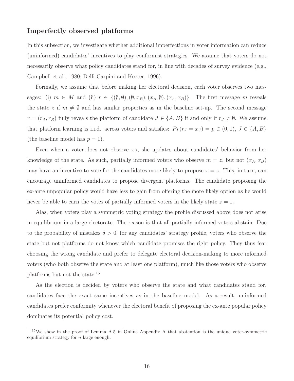### Imperfectly observed platforms

In this subsection, we investigate whether additional imperfections in voter information can reduce (uninformed) candidates' incentives to play conformist strategies. We assume that voters do not necessarily observe what policy candidates stand for, in line with decades of survey evidence (e.g., Campbell et al., 1980; Delli Carpini and Keeter, 1996).

Formally, we assume that before making her electoral decision, each voter observes two messages: (i)  $m \in M$  and (ii)  $r \in \{(\emptyset, \emptyset), (\emptyset, x_B), (x_A, \emptyset), (x_A, x_B)\}.$  The first message m reveals the state z if  $m \neq \emptyset$  and has similar properties as in the baseline set-up. The second message  $r = (r_A, r_B)$  fully reveals the platform of candidate  $J \in \{A, B\}$  if and only if  $r_J \neq \emptyset$ . We assume that platform learning is i.i.d. across voters and satisfies:  $Pr(r_j = x_j) = p \in (0, 1), J \in \{A, B\}$ (the baseline model has  $p = 1$ ).

Even when a voter does not observe  $x_J$ , she updates about candidates' behavior from her knowledge of the state. As such, partially informed voters who observe  $m = z$ , but not  $(x_A, x_B)$ may have an incentive to vote for the candidates more likely to propose  $x = z$ . This, in turn, can encourage uninformed candidates to propose divergent platforms. The candidate proposing the ex-ante unpopular policy would have less to gain from offering the more likely option as he would never be able to earn the votes of partially informed voters in the likely state  $z = 1$ .

Alas, when voters play a symmetric voting strategy the profile discussed above does not arise in equilibrium in a large electorate. The reason is that all partially informed voters abstain. Due to the probability of mistakes  $\delta > 0$ , for any candidates' strategy profile, voters who observe the state but not platforms do not know which candidate promises the right policy. They thus fear choosing the wrong candidate and prefer to delegate electoral decision-making to more informed voters (who both observe the state and at least one platform), much like those voters who observe platforms but not the state.<sup>15</sup>

As the election is decided by voters who observe the state and what candidates stand for, candidates face the exact same incentives as in the baseline model. As a result, uninformed candidates prefer conformity whenever the electoral benefit of proposing the ex-ante popular policy dominates its potential policy cost.

<sup>15</sup>We show in the proof of Lemma A.5 in Online Appendix A that abstention is the unique voter-symmetric equilibrium strategy for  $n$  large enough.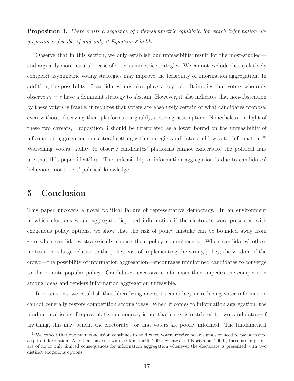**Proposition 3.** There exists a sequence of voter-symmetric equilibria for which information aggregation is feasible if and only if Equation 3 holds.

Observe that in this section, we only establish our unfeasibility result for the most-studied and arguably more natural—case of voter-symmetric strategies. We cannot exclude that (relatively complex) asymmetric voting strategies may improve the feasibility of information aggregation. In addition, the possibility of candidates' mistakes plays a key role. It implies that voters who only observe  $m = z$  have a dominant strategy to abstain. However, it also indicates that non-abstention by these voters is fragile; it requires that voters are absolutely certain of what candidates propose, even without observing their platforms—arguably, a strong assumption. Nonetheless, in light of these two caveats, Proposition 3 should be interpreted as a lower bound on the unfeasibility of information aggregation in electoral setting with strategic candidates and low voter information.<sup>16</sup> Worsening voters' ability to observe candidates' platforms cannot exacerbate the political failure that this paper identifies. The unfeasibility of information aggregation is due to candidates' behaviors, not voters' political knowledge.

## 5 Conclusion

This paper uncovers a novel political failure of representative democracy. In an environment in which elections would aggregate dispersed information if the electorate were presented with exogenous policy options, we show that the risk of policy mistake can be bounded away from zero when candidates strategically choose their policy commitments. When candidates' officemotivation is large relative to the policy cost of implementing the wrong policy, the wisdom of the crowd—the possibility of information aggregation—encourages uninformed candidates to converge to the ex-ante popular policy. Candidates' excessive conformism then impedes the competition among ideas and renders information aggregation unfeasible.

In extensions, we establish that liberalizing access to candidacy or reducing voter information cannot generally restore competition among ideas. When it comes to information aggregation, the fundamental issue of representative democracy is not that entry is restricted to two candidates—if anything, this may benefit the electorate—or that voters are poorly informed. The fundamental

<sup>&</sup>lt;sup>16</sup>We expect that our main conclusion continues to hold when voters receive noisy signals or need to pay a cost to acquire information. As others have shown (see Martinelli, 2006; Szentes and Koriyama, 2009), these assumptions are of no or only limited consequences for information aggregation whenever the electorate is presented with two distinct exogenous options.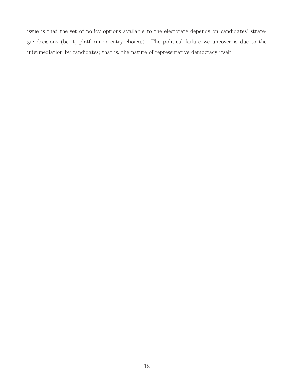issue is that the set of policy options available to the electorate depends on candidates' strategic decisions (be it, platform or entry choices). The political failure we uncover is due to the intermediation by candidates; that is, the nature of representative democracy itself.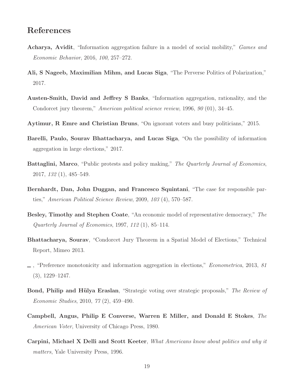## References

- Acharya, Avidit, "Information aggregation failure in a model of social mobility," *Games and* Economic Behavior, 2016, 100, 257–272.
- Ali, S Nageeb, Maximilian Mihm, and Lucas Siga, "The Perverse Politics of Polarization," 2017.
- Austen-Smith, David and Jeffrey S Banks, "Information aggregation, rationality, and the Condorcet jury theorem," American political science review, 1996, 90 (01), 34–45.
- Aytimur, R Emre and Christian Bruns, "On ignorant voters and busy politicians," 2015.
- Barelli, Paulo, Sourav Bhattacharya, and Lucas Siga, "On the possibility of information aggregation in large elections," 2017.
- Battaglini, Marco, "Public protests and policy making," The Quarterly Journal of Economics, 2017, 132 (1), 485–549.
- Bernhardt, Dan, John Duggan, and Francesco Squintani, "The case for responsible parties," American Political Science Review, 2009, 103 (4), 570–587.
- Besley, Timothy and Stephen Coate, "An economic model of representative democracy," The Quarterly Journal of Economics, 1997, 112 (1), 85–114.
- Bhattacharya, Sourav, "Condorcet Jury Theorem in a Spatial Model of Elections," Technical Report, Mimeo 2013.
- $\Box$ , "Preference monotonicity and information aggregation in elections," *Econometrica*, 2013, 81 (3), 1229–1247.
- Bond, Philip and Hülya Eraslan, "Strategic voting over strategic proposals," The Review of Economic Studies, 2010, 77 (2), 459–490.
- Campbell, Angus, Philip E Converse, Warren E Miller, and Donald E Stokes,  $The$ American Voter, University of Chicago Press, 1980.
- Carpini, Michael X Delli and Scott Keeter, What Americans know about politics and why it matters, Yale University Press, 1996.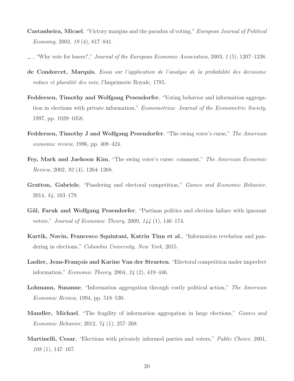- **Castanheira, Micael**, "Victory margins and the paradox of voting," *European Journal of Political* Economy, 2003, 19 $(4)$ , 817–841.
- , "Why vote for losers?," Journal of the European Economic Association, 2003, 1 (5), 1207–1238.
- de Condorcet, Marquis, Essai sur l'application de l'analyse de la probabilité des decisions: redues et pluralité des voix, l'Imprimerie Royale, 1785.
- Feddersen, Timothy and Wolfgang Pesendorfer, "Voting behavior and information aggregation in elections with private information," Econometrica: Journal of the Econometric Society, 1997, pp. 1029–1058.
- Feddersen, Timothy J and Wolfgang Pesendorfer, "The swing voter's curse," The American economic review, 1996, pp. 408–424.
- Fey, Mark and Jaehoon Kim, "The swing voter's curse: comment," The American Economic Review, 2002, 92 (4), 1264–1268.
- Gratton, Gabriele, "Pandering and electoral competition," Games and Economic Behavior, 2014, 84, 163–179.
- Gül, Faruk and Wolfgang Pesendorfer, "Partisan politics and election failure with ignorant voters," Journal of Economic Theory, 2009, 144 (1), 146–174.
- Kartik, Navin, Francesco Squintani, Katrin Tinn et al., "Information revelation and pandering in elections," Columbia University, New York, 2015.
- Laslier, Jean-François and Karine Van der Straeten, "Electoral competition under imperfect information," Economic Theory, 2004, 24 (2), 419–446.
- Lohmann, Susanne, "Information aggregation through costly political action," The American Economic Review, 1994, pp. 518–530.
- Mandler, Michael, "The fragility of information aggregation in large elections," Games and Economic Behavior, 2012, 74 (1), 257–268.
- Martinelli, Cesar, "Elections with privately informed parties and voters," Public Choice, 2001, 108 (1), 147–167.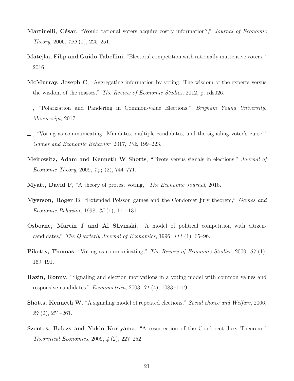- Martinelli, César, "Would rational voters acquire costly information?," Journal of Economic Theory, 2006, 129 (1), 225–251.
- Matějka, Filip and Guido Tabellini, "Electoral competition with rationally inattentive voters," 2016.
- McMurray, Joseph C, "Aggregating information by voting: The wisdom of the experts versus the wisdom of the masses," The Review of Economic Studies, 2012, p. rds026.
- , "Polarization and Pandering in Common-value Elections," Brigham Young University. Manuscript, 2017.
- , "Voting as communicating: Mandates, multiple candidates, and the signaling voter's curse," Games and Economic Behavior, 2017, 102, 199–223.
- Meirowitz, Adam and Kenneth W Shotts, "Pivots versus signals in elections," Journal of Economic Theory, 2009, 144 (2), 744–771.
- Myatt, David P, "A theory of protest voting," The Economic Journal, 2016.
- Myerson, Roger B, "Extended Poisson games and the Condorcet jury theorem," Games and Economic Behavior, 1998, 25 (1), 111–131.
- Osborne, Martin J and Al Slivinski, "A model of political competition with citizencandidates," The Quarterly Journal of Economics, 1996, 111 (1), 65–96.
- Piketty, Thomas, "Voting as communicating," The Review of Economic Studies, 2000, 67(1), 169–191.
- Razin, Ronny, "Signaling and election motivations in a voting model with common values and responsive candidates," Econometrica, 2003, 71 (4), 1083–1119.
- Shotts, Kenneth W, "A signaling model of repeated elections," Social choice and Welfare, 2006,  $27(2), 251-261.$
- Szentes, Balazs and Yukio Koriyama, "A resurrection of the Condorcet Jury Theorem," Theoretical Economics, 2009, 4 (2), 227–252.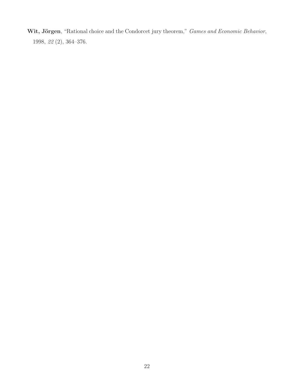Wit, Jörgen, "Rational choice and the Condorcet jury theorem," Games and Economic Behavior, 1998, 22 (2), 364–376.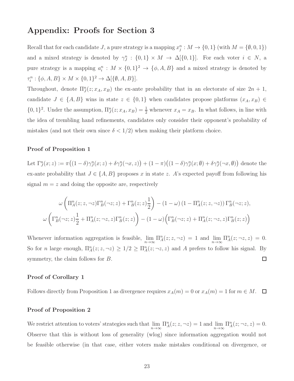## Appendix: Proofs for Section 3

Recall that for each candidate J, a pure strategy is a mapping  $x_j^n : M \to \{0, 1\}$  (with  $M = \{\emptyset, 0, 1\}$ ) and a mixed strategy is denoted by  $\gamma_j^n : \{0,1\} \times M \to \Delta[\{0,1\}]$ . For each voter  $i \in N$ , a pure strategy is a mapping  $a_i^n : M \times \{0,1\}^2 \to \{\phi, A, B\}$  and a mixed strategy is denoted by  $\tau_i^n : \{\phi, A, B\} \times M \times \{0, 1\}^2 \to \Delta[\{\emptyset, A, B\}].$ 

Throughout, denote  $\Pi_{J}^{n}(z; x_{A}, x_{B})$  the ex-ante probability that in an electorate of size  $2n + 1$ , candidate  $J \in \{A, B\}$  wins in state  $z \in \{0, 1\}$  when candidates propose platforms  $(x_A, x_B) \in$  $\{0,1\}^2$ . Under the assumption,  $\Pi_{J}^n(z; x_A, x_B) = \frac{1}{2}$  whenever  $x_A = x_B$ . In what follows, in line with the idea of trembling hand refinements, candidates only consider their opponent's probability of mistakes (and not their own since  $\delta < 1/2$ ) when making their platform choice.

### Proof of Proposition 1

Let  $\Gamma_J^n(x; z) := \pi((1-\delta)\gamma_J^n(x; z) + \delta\gamma_J^n(\neg x, z)) + (1-\pi)((1-\delta)\gamma_J^n(x; \emptyset) + \delta\gamma_J^n(\neg x, \emptyset))$  denote the ex-ante probability that  $J \in \{A, B\}$  proposes x in state z. A's expected payoff from following his signal  $m = z$  and doing the opposite are, respectively

$$
\omega\left(\Pi_A^n(z;z,\neg z)\Gamma_B^n(\neg z;z) + \Gamma_B^n(z;z)\frac{1}{2}\right) - (1-\omega)\left(1 - \Pi_A^n(z;z,\neg z)\right)\Gamma_B^n(\neg z;z),
$$
  

$$
\omega\left(\Gamma_B^n(\neg z;z)\frac{1}{2} + \Pi_A^n(z;\neg z,z)\Gamma_B^n(z;z)\right) - (1-\omega)\left(\Gamma_B^n(\neg z;z) + \Pi_A^n(z;\neg z,z)\Gamma_B^n(z;z)\right)
$$

Whenever information aggregation is feasible,  $\lim_{n\to\infty} \Pi_A^n(z; z, \neg z) = 1$  and  $\lim_{n\to\infty} \Pi_A^n(z; \neg z, z) = 0$ . So for *n* large enough,  $\Pi_A^n(z; z, \neg z) \geq 1/2 \geq \Pi_A^n(z; \neg z, z)$  and A prefers to follow his signal. By symmetry, the claim follows for B.  $\Box$ 

#### Proof of Corollary 1

Follows directly from Proposition 1 as divergence requires  $x_A(m) = 0$  or  $x_A(m) = 1$  for  $m \in M$ .  $\Box$ 

#### Proof of Proposition 2

We restrict attention to voters' strategies such that  $\lim_{n\to\infty} \Pi_A^n(z; z, \neg z) = 1$  and  $\lim_{n\to\infty} \Pi_A^n(z; \neg z, z) = 0$ . Observe that this is without loss of generality (wlog) since information aggregation would not be feasible otherwise (in that case, either voters make mistakes conditional on divergence, or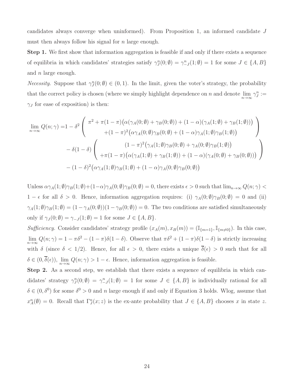candidates always converge when uninformed). From Proposition 1, an informed candidate J must then always follow his signal for  $n$  large enough.

Step 1. We first show that information aggregation is feasible if and only if there exists a sequence of equilibria in which candidates' strategies satisfy  $\gamma_J^n(0;\emptyset) = \gamma_{-J}^n(1;\emptyset) = 1$  for some  $J \in \{A, B\}$ and n large enough.

*Necessity*. Suppose that  $\gamma_{J}^{n}(0;\emptyset) \in (0,1)$ . In the limit, given the voter's strategy, the probability that the correct policy is chosen (where we simply highlight dependence on n and denote  $\lim_{n\to\infty}\gamma^n_J:=$  $\gamma_J$  for ease of exposition) is then:

$$
\lim_{n \to \infty} Q(n; \gamma) = 1 - \delta^2 \left( \begin{array}{c} \pi^2 + \pi (1 - \pi) \big( \alpha (\gamma_A(0; \emptyset) + \gamma_B(0; \emptyset)) + (1 - \alpha) (\gamma_A(1; \emptyset) + \gamma_B(1; \emptyset)) \big) \\ + (1 - \pi)^2 \big( \alpha \gamma_A(0; \emptyset) \gamma_B(0; \emptyset) + (1 - \alpha) \gamma_A(1; \emptyset) \gamma_B(1; \emptyset) \big) \\ - \delta (1 - \delta) \left( \begin{array}{c} (1 - \pi)^2 (\gamma_A(1; \emptyset) \gamma_B(0; \emptyset) + \gamma_A(0; \emptyset) \gamma_B(1; \emptyset)) \\ + \pi (1 - \pi) \big( \alpha (\gamma_A(1; \emptyset) + \gamma_B(1; \emptyset)) + (1 - \alpha) (\gamma_A(0; \emptyset) + \gamma_B(0; \emptyset)) \big) \end{array} \right) \\ - (1 - \delta)^2 \big( \alpha \gamma_A(1; \emptyset) \gamma_B(1; \emptyset) + (1 - \alpha) \gamma_A(0; \emptyset) \gamma_B(0; \emptyset) \big) \end{array} \right)
$$

Unless  $\alpha\gamma_A(1;\emptyset)\gamma_B(1;\emptyset)+(1-\alpha)\gamma_A(0;\emptyset)\gamma_B(0;\emptyset) = 0$ , there exists  $\epsilon > 0$  such that  $\lim_{n\to\infty} Q(n;\gamma) <$  $1 - \epsilon$  for all  $\delta > 0$ . Hence, information aggregation requires: (i)  $\gamma_A(0;\emptyset)\gamma_B(0;\emptyset) = 0$  and (ii)  $\gamma_A(1;\emptyset)\gamma_B(1;\emptyset) = (1-\gamma_A(0;\emptyset))(1-\gamma_B(0;\emptyset)) = 0$ . The two conditions are satisfied simultaneously only if  $\gamma_J(0;\emptyset) = \gamma_{-J}(1;\emptyset) = 1$  for some  $J \in \{A, B\}.$ 

Sufficiency. Consider candidates' strategy profile  $(x_A(m), x_B(m)) = (\mathbb{I}_{\{m=1\}}, \mathbb{I}_{\{m\neq 0\}})$ . In this case,  $\lim_{n\to\infty} Q(n;\gamma) = 1 - \pi\delta^2 - (1-\pi)\delta(1-\delta)$ . Observe that  $\pi\delta^2 + (1-\pi)\delta(1-\delta)$  is strictly increasing with  $\delta$  (since  $\delta < 1/2$ ). Hence, for all  $\epsilon > 0$ , there exists a unique  $\overline{\delta}(\epsilon) > 0$  such that for all  $\delta \in (0, \delta(\epsilon)), \lim_{n \to \infty} Q(n; \gamma) > 1 - \epsilon$ . Hence, information aggregation is feasible.

Step 2. As a second step, we establish that there exists a sequence of equilibria in which candidates' strategy  $\gamma_J^n(0;\emptyset) = \gamma_{-J}^n(1;\emptyset) = 1$  for some  $J \in \{A, B\}$  is individually rational for all  $\delta \in (0, \delta^0)$  for some  $\delta^0 > 0$  and n large enough if and only if Equation 3 holds. Wlog, assume that  $x_A^n(\emptyset) = 0$ . Recall that  $\Gamma_J^n(x; z)$  is the ex-ante probability that  $J \in \{A, B\}$  chooses x in state z.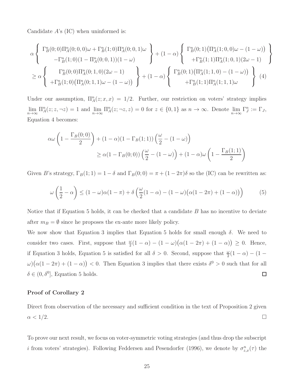Candidate A's (IC) when uninformed is:

$$
\alpha \left\{ \begin{array}{c} \Gamma_B^n(0;0)\Pi_A^n(0;0,0)\omega + \Gamma_B^n(1;0)\Pi_A^n(0;0,1)\omega \\ -\Gamma_B^n(1;0)(1-\Pi_A^n(0;0,1))(1-\omega) \\ \geq \alpha \left\{ \begin{array}{c} \Gamma_B^n(0;1)\Pi_A^n(1;0,0)\omega - (1-\omega) \\ +\Gamma_B^n(1;1)\Pi_A^n(1;0,1)(2\omega - 1) \\ +\Gamma_B^n(1;1)\Pi_A^n(1;0,0) - (1-\omega) \end{array} \right\} + (1-\alpha) \left\{ \begin{array}{c} \Gamma_B^n(0;1)\left(\Pi_A^n(1;0,0)\omega - (1-\omega)\right) \\ +\Gamma_B^n(1;1)\Pi_A^n(1;0,1)(2\omega - 1) \\ +\Gamma_B^n(1;1)\Pi_A^n(1;1,1)\omega \end{array} \right\} \right\} \tag{4}
$$

Under our assumption,  $\Pi_A^n(z; x, x) = 1/2$ . Further, our restriction on voters' strategy implies  $\lim_{n\to\infty} \Pi_A^n(z; z, \neg z) = 1$  and  $\lim_{n\to\infty} \Pi_A^n(z; \neg z, z) = 0$  for  $z \in \{0, 1\}$  as  $n \to \infty$ . Denote  $\lim_{n\to\infty} \Gamma_J^n := \Gamma_J$ , Equation 4 becomes:

$$
\alpha \omega \left( 1 - \frac{\Gamma_B(0;0)}{2} \right) + (1 - \alpha)(1 - \Gamma_B(1;1)) \left( \frac{\omega}{2} - (1 - \omega) \right)
$$
  
\n
$$
\geq \alpha (1 - \Gamma_B(0;0)) \left( \frac{\omega}{2} - (1 - \omega) \right) + (1 - \alpha) \omega \left( 1 - \frac{\Gamma_B(1;1)}{2} \right)
$$

Given B's strategy,  $\Gamma_B(1;1) = 1 - \delta$  and  $\Gamma_B(0;0) = \pi + (1 - 2\pi)\delta$  so the (IC) can be rewritten as:

$$
\omega\left(\frac{1}{2}-\alpha\right) \le (1-\omega)\alpha(1-\pi) + \delta\left(\frac{\omega}{2}(1-\alpha) - (1-\omega)\big(\alpha(1-2\pi) + (1-\alpha)\big)\right) \tag{5}
$$

Notice that if Equation 5 holds, it can be checked that a candidate  $B$  has no incentive to deviate after  $m_B = \emptyset$  since he proposes the ex-ante more likely policy.

We now show that Equation 3 implies that Equation 5 holds for small enough  $\delta$ . We need to consider two cases. First, suppose that  $\frac{\omega}{2}(1-\alpha) - (1-\omega)(\alpha(1-2\pi) + (1-\alpha)) \geq 0$ . Hence, if Equation 3 holds, Equation 5 is satisfied for all  $\delta > 0$ . Second, suppose that  $\frac{\omega}{2}(1 - \alpha) - (1 - \alpha)$  $\omega(\alpha(1-2\pi) + (1-\alpha)) < 0$ . Then Equation 3 implies that there exists  $\delta^0 > 0$  such that for all  $\delta \in (0, \delta^0],$  Equation 5 holds.  $\Box$ 

### Proof of Corollary 2

Direct from observation of the necessary and sufficient condition in the text of Proposition 2 given  $\alpha < 1/2$ .

To prove our next result, we focus on voter-symmetric voting strategies (and thus drop the subscript *i* from voters' strategies). Following Feddersen and Pesendorfer (1996), we denote by  $\sigma_{z,x}^n(\tau)$  the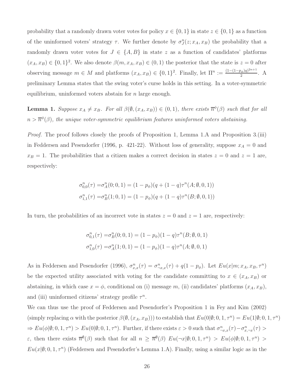probability that a randomly drawn voter votes for policy  $x \in \{0, 1\}$  in state  $z \in \{0, 1\}$  as a function of the uninformed voters' strategy  $\tau$ . We further denote by  $\sigma_J^n(z; x_A, x_B)$  the probability that a randomly drawn voter votes for  $J \in \{A, B\}$  in state z as a function of candidates' platforms  $(x_A, x_B) \in \{0, 1\}^2$ . We also denote  $\beta(m, x_A, x_B) \in (0, 1)$  the posterior that the state is  $z = 0$  after observing message  $m \in M$  and platforms  $(x_A, x_B) \in \{0, 1\}^2$ . Finally, let  $\Pi^n := \frac{(1 - (1 - p_{\phi})q)^{2n+1}}{2}$  $\frac{\partial \phi}{\partial q}$ . A preliminary Lemma states that the swing voter's curse holds in this setting. In a voter-symmetric equilibrium, uninformed voters abstain for  $n$  large enough.

**Lemma 1.** Suppose  $x_A \neq x_B$ . For all  $\beta(\emptyset, (x_A, x_B)) \in (0,1)$ , there exists  $\overline{n}^{\phi}(\beta)$  such that for all  $n > \overline{n}^{\phi}(\beta)$ , the unique voter-symmetric equilibrium features uninformed voters abstaining.

Proof. The proof follows closely the proofs of Proposition 1, Lemma 1.A and Proposition 3.(iii) in Feddersen and Pesendorfer (1996, p. 421-22). Without loss of generality, suppose  $x_A = 0$  and  $x_B = 1$ . The probabilities that a citizen makes a correct decision in states  $z = 0$  and  $z = 1$  are, respectively:

$$
\sigma_{0,0}^n(\tau) = \sigma_A^n(0; 0, 1) = (1 - p_\phi)(q + (1 - q)\tau^n(A; \emptyset, 0, 1))
$$
  

$$
\sigma_{1,1}^n(\tau) = \sigma_B^n(1; 0, 1) = (1 - p_\phi)(q + (1 - q)\tau^n(B; \emptyset, 0, 1))
$$

In turn, the probabilities of an incorrect vote in states  $z = 0$  and  $z = 1$  are, respectively:

$$
\sigma_{0,1}^n(\tau) = \sigma_B^n(0; 0, 1) = (1 - p_\phi)(1 - q)\tau^n(B; \emptyset, 0, 1)
$$
  

$$
\sigma_{1,0}^n(\tau) = \sigma_A^n(1; 0, 1) = (1 - p_\phi)(1 - q)\tau^n(A; \emptyset, 0, 1)
$$

As in Feddersen and Pesendorfer (1996),  $\sigma_{x,x}^n(\tau) = \sigma_{-x,x}^n(\tau) + q(1-p_\phi)$ . Let  $Eu(x|m; x_A, x_B, \tau^n)$ be the expected utility associated with voting for the candidate committing to  $x \in (x_A, x_B)$  or abstaining, in which case  $x = \phi$ , conditional on (i) message m, (ii) candidates' platforms  $(x_A, x_B)$ , and (iii) uninformed citizens' strategy profile  $\tau^n$ .

We can thus use the proof of Feddersen and Pesendorfer's Proposition 1 in Fey and Kim (2002) (simply replacing  $\alpha$  with the posterior  $\beta(\emptyset, (x_A, x_B))$ ) to establish that  $Eu(0|\emptyset; 0, 1, \tau^n) = Eu(1|\emptyset; 0, 1, \tau^n)$  $\Rightarrow Eu(\phi|\emptyset; 0, 1, \tau^n) > Eu(0|\emptyset; 0, 1, \tau^n)$ . Further, if there exists  $\varepsilon > 0$  such that  $\sigma^n_{\neg x,x}(\tau) - \sigma^n_{x,\neg x}(\tau) >$ ε, then there exists  $\overline{n}^{\emptyset}(\beta)$  such that for all  $n \geq \overline{n}^{\emptyset}(\beta) Eu(\neg x|\emptyset; 0,1, \tau^n) > Eu(\phi|\emptyset; 0,1, \tau^n) >$  $Eu(x|\emptyset; 0, 1, \tau^n)$  (Feddersen and Pesendorfer's Lemma 1.A). Finally, using a similar logic as in the